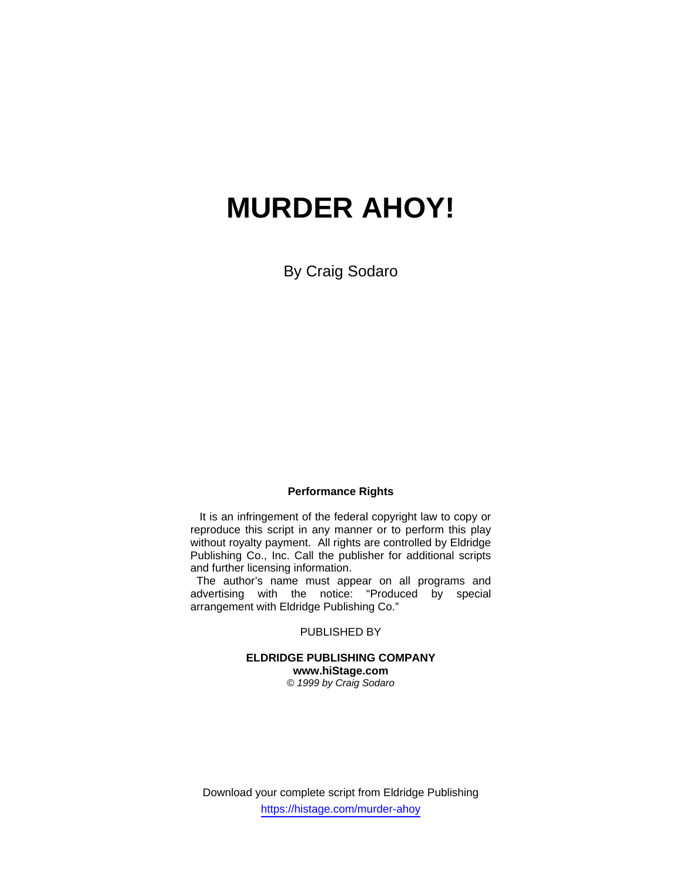# **MURDER AHOY!**

By Craig Sodaro

#### **Performance Rights**

 It is an infringement of the federal copyright law to copy or reproduce this script in any manner or to perform this play without royalty payment. All rights are controlled by Eldridge Publishing Co., Inc. Call the publisher for additional scripts and further licensing information.

 The author's name must appear on all programs and advertising with the notice: "Produced by special arrangement with Eldridge Publishing Co."

### PUBLISHED BY

#### **ELDRIDGE PUBLISHING COMPANY www.hiStage.com**  *© 1999 by Craig Sodaro*

Download your complete script from Eldridge Publishing https://histage.com/murder-ahoy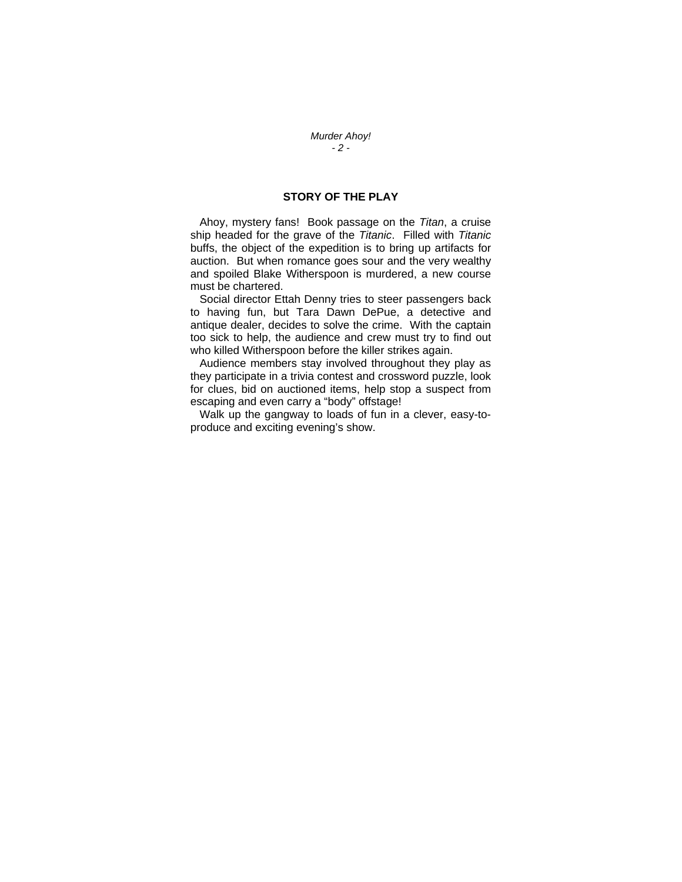#### *Murder Ahoy! - 2 -*

## **STORY OF THE PLAY**

 Ahoy, mystery fans! Book passage on the *Titan*, a cruise ship headed for the grave of the *Titanic*. Filled with *Titanic* buffs, the object of the expedition is to bring up artifacts for auction. But when romance goes sour and the very wealthy and spoiled Blake Witherspoon is murdered, a new course must be chartered.

 Social director Ettah Denny tries to steer passengers back to having fun, but Tara Dawn DePue, a detective and antique dealer, decides to solve the crime. With the captain too sick to help, the audience and crew must try to find out who killed Witherspoon before the killer strikes again.

 Audience members stay involved throughout they play as they participate in a trivia contest and crossword puzzle, look for clues, bid on auctioned items, help stop a suspect from escaping and even carry a "body" offstage!

 Walk up the gangway to loads of fun in a clever, easy-toproduce and exciting evening's show.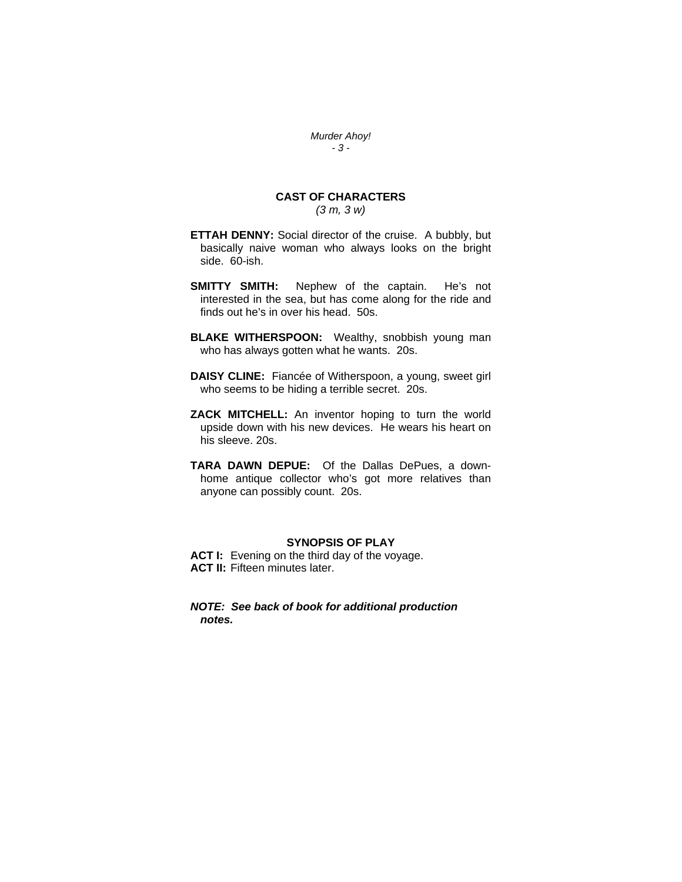*Murder Ahoy! - 3 -* 

# **CAST OF CHARACTERS**

*(3 m, 3 w)* 

- **ETTAH DENNY:** Social director of the cruise. A bubbly, but basically naive woman who always looks on the bright side. 60-ish.
- **SMITTY SMITH:** Nephew of the captain. He's not interested in the sea, but has come along for the ride and finds out he's in over his head. 50s.
- **BLAKE WITHERSPOON:** Wealthy, snobbish young man who has always gotten what he wants. 20s.
- **DAISY CLINE:** Fiancée of Witherspoon, a young, sweet girl who seems to be hiding a terrible secret. 20s.
- **ZACK MITCHELL:** An inventor hoping to turn the world upside down with his new devices. He wears his heart on his sleeve. 20s.
- **TARA DAWN DEPUE:** Of the Dallas DePues, a downhome antique collector who's got more relatives than anyone can possibly count. 20s.

#### **SYNOPSIS OF PLAY**

**ACT I:** Evening on the third day of the voyage. **ACT II:** Fifteen minutes later.

#### *NOTE: See back of book for additional production notes.*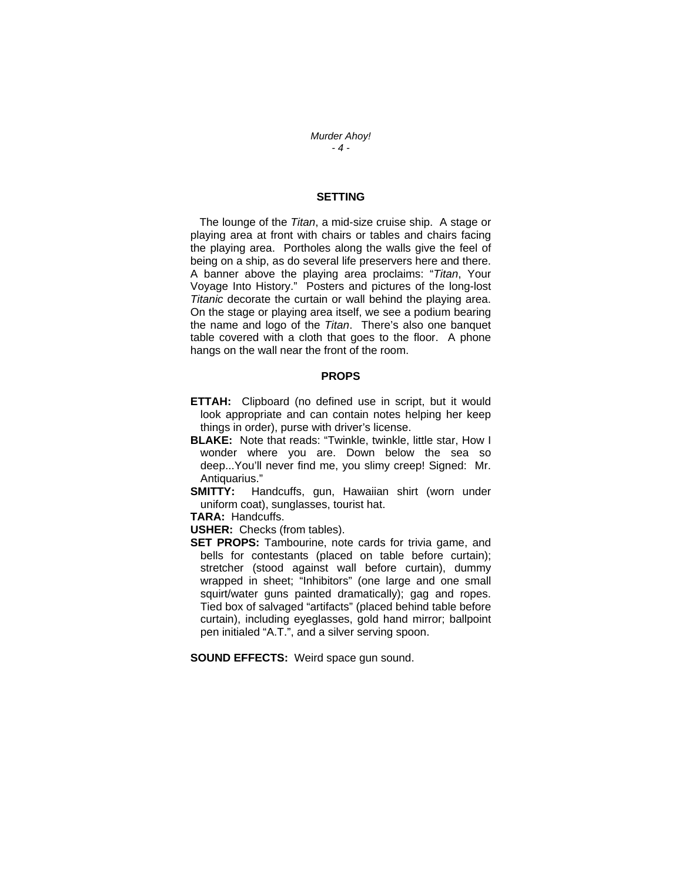*Murder Ahoy! - 4 -* 

#### **SETTING**

 The lounge of the *Titan*, a mid-size cruise ship. A stage or playing area at front with chairs or tables and chairs facing the playing area. Portholes along the walls give the feel of being on a ship, as do several life preservers here and there. A banner above the playing area proclaims: "*Titan*, Your Voyage Into History." Posters and pictures of the long-lost *Titanic* decorate the curtain or wall behind the playing area. On the stage or playing area itself, we see a podium bearing the name and logo of the *Titan*. There's also one banquet table covered with a cloth that goes to the floor. A phone hangs on the wall near the front of the room.

#### **PROPS**

- **ETTAH:** Clipboard (no defined use in script, but it would look appropriate and can contain notes helping her keep things in order), purse with driver's license.
- **BLAKE:** Note that reads: "Twinkle, twinkle, little star, How I wonder where you are. Down below the sea so deep...You'll never find me, you slimy creep! Signed: Mr. Antiquarius."
- **SMITTY:** Handcuffs, gun, Hawaiian shirt (worn under uniform coat), sunglasses, tourist hat.

**TARA:** Handcuffs.

**USHER:** Checks (from tables).

**SET PROPS:** Tambourine, note cards for trivia game, and bells for contestants (placed on table before curtain); stretcher (stood against wall before curtain), dummy wrapped in sheet; "Inhibitors" (one large and one small squirt/water guns painted dramatically); gag and ropes. Tied box of salvaged "artifacts" (placed behind table before curtain), including eyeglasses, gold hand mirror; ballpoint pen initialed "A.T.", and a silver serving spoon.

**SOUND EFFECTS:** Weird space gun sound.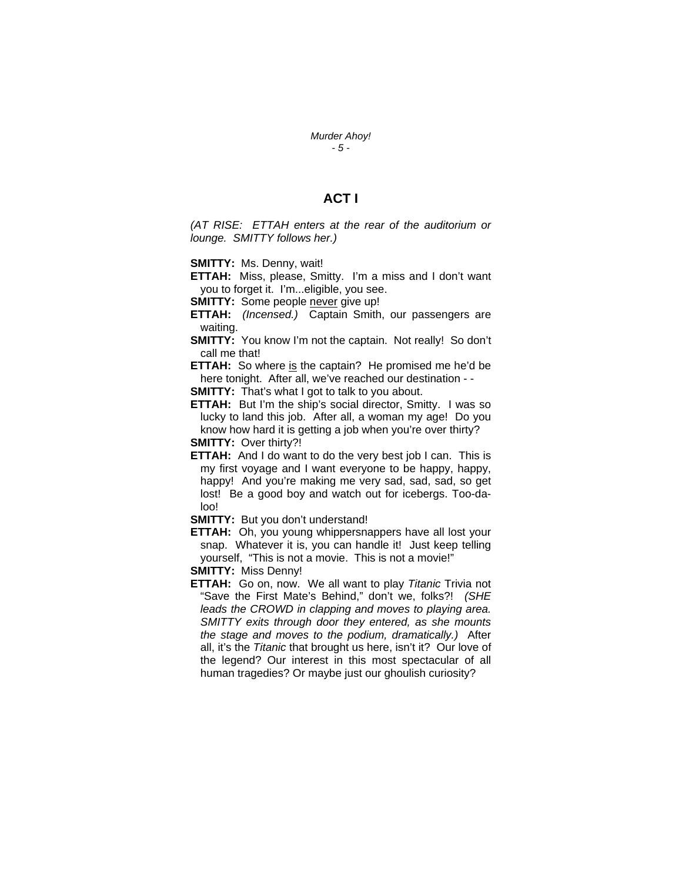*Murder Ahoy! - 5 -* 

## **ACT I**

*(AT RISE: ETTAH enters at the rear of the auditorium or lounge. SMITTY follows her.)* 

**SMITTY:** Ms. Denny, wait!

**ETTAH:** Miss, please, Smitty. I'm a miss and I don't want you to forget it. I'm...eligible, you see.

**SMITTY:** Some people never give up!

**ETTAH:** *(Incensed.)* Captain Smith, our passengers are waiting.

**SMITTY:** You know I'm not the captain. Not really! So don't call me that!

**ETTAH:** So where is the captain? He promised me he'd be here tonight. After all, we've reached our destination - -

**SMITTY:** That's what I got to talk to you about.

**ETTAH:** But I'm the ship's social director, Smitty. I was so lucky to land this job. After all, a woman my age! Do you know how hard it is getting a job when you're over thirty?

**SMITTY:** Over thirty?!

**ETTAH:** And I do want to do the very best job I can. This is my first voyage and I want everyone to be happy, happy, happy! And you're making me very sad, sad, sad, so get lost! Be a good boy and watch out for icebergs. Too-daloo!

**SMITTY:** But you don't understand!

**ETTAH:** Oh, you young whippersnappers have all lost your snap. Whatever it is, you can handle it! Just keep telling yourself, "This is not a movie. This is not a movie!"

**SMITTY:** Miss Denny!

**ETTAH:** Go on, now. We all want to play *Titanic* Trivia not "Save the First Mate's Behind," don't we, folks?! *(SHE leads the CROWD in clapping and moves to playing area. SMITTY exits through door they entered, as she mounts the stage and moves to the podium, dramatically.)* After all, it's the *Titanic* that brought us here, isn't it? Our love of the legend? Our interest in this most spectacular of all human tragedies? Or maybe just our ghoulish curiosity?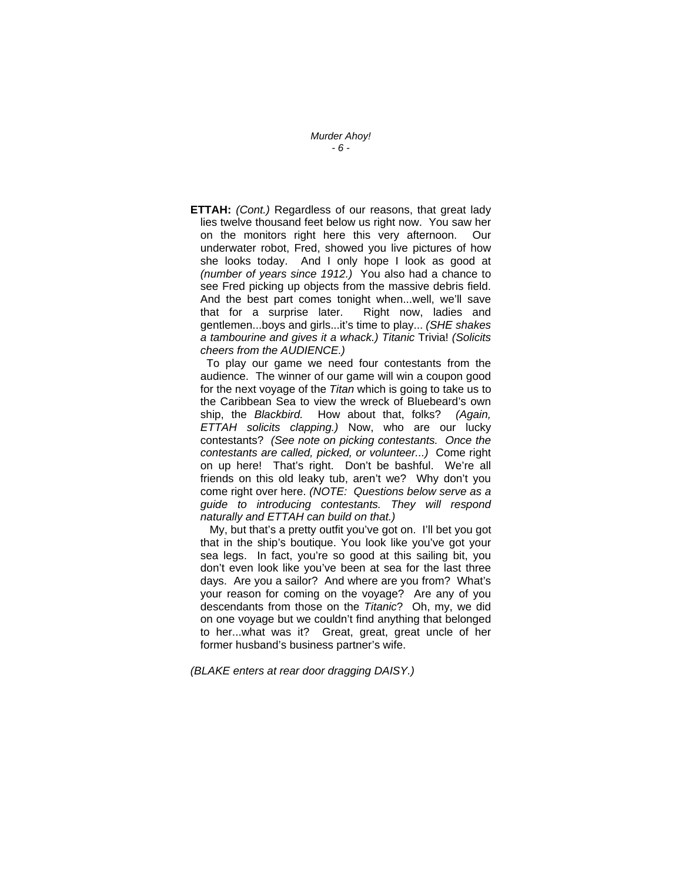*Murder Ahoy! - 6 -* 

**ETTAH:** *(Cont.)* Regardless of our reasons, that great lady lies twelve thousand feet below us right now. You saw her on the monitors right here this very afternoon. Our underwater robot, Fred, showed you live pictures of how she looks today. And I only hope I look as good at *(number of years since 1912.)* You also had a chance to see Fred picking up objects from the massive debris field. And the best part comes tonight when...well, we'll save that for a surprise later. Right now, ladies and gentlemen...boys and girls...it's time to play... *(SHE shakes a tambourine and gives it a whack.) Titanic* Trivia! *(Solicits cheers from the AUDIENCE.)*

 To play our game we need four contestants from the audience. The winner of our game will win a coupon good for the next voyage of the *Titan* which is going to take us to the Caribbean Sea to view the wreck of Bluebeard's own ship, the *Blackbird.* How about that, folks? *(Again, ETTAH solicits clapping.)* Now, who are our lucky contestants? *(See note on picking contestants. Once the contestants are called, picked, or volunteer...)* Come right on up here! That's right. Don't be bashful. We're all friends on this old leaky tub, aren't we? Why don't you come right over here. *(NOTE: Questions below serve as a guide to introducing contestants. They will respond naturally and ETTAH can build on that.)*

 My, but that's a pretty outfit you've got on. I'll bet you got that in the ship's boutique. You look like you've got your sea legs. In fact, you're so good at this sailing bit, you don't even look like you've been at sea for the last three days. Are you a sailor? And where are you from? What's your reason for coming on the voyage? Are any of you descendants from those on the *Titanic*? Oh, my, we did on one voyage but we couldn't find anything that belonged to her...what was it? Great, great, great uncle of her former husband's business partner's wife.

*(BLAKE enters at rear door dragging DAISY.)*